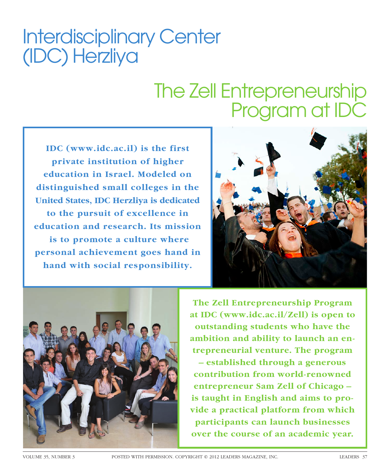# Interdisciplinary Center (IDC) Herzliya

# The Zell Entrepreneurship Program at IDC

**IDC (www.idc.ac.il) is the first private institution of higher education in Israel. Modeled on distinguished small colleges in the United States, IDC Herzliya is dedicated to the pursuit of excellence in education and research. Its mission is to promote a culture where personal achievement goes hand in hand with social responsibility.** 





**The Zell Entrepreneurship Program at IDC (www.idc.ac.il/Zell) is open to outstanding students who have the ambition and ability to launch an entrepreneurial venture. The program – established through a generous contribution from world-renowned entrepreneur Sam Zell of Chicago – is taught in English and aims to provide a practical platform from which participants can launch businesses over the course of an academic year.**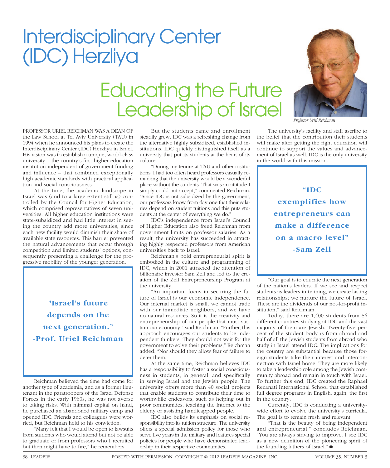Reichman believed the time had come for another type of academia, and as a former lieutenant in the paratroopers of the Israel Defense Forces in the early 1960s, he was not averse to taking risks. With minimal capital on hand, he purchased an abandoned military camp and opened IDC. Friends and colleagues were worried, but Reichman held to his conviction. "Many felt that I would be open to lawsuits

from students who would attend but not be able to graduate or from professors who I recruited but then might have to fire," he remembers.

## Interdisciplinary Center (IDC) Herzliya

#### Educating the Future Leadership of Israel

PROFESSOR URIEL REICHMAN WAS A DEAN OF the Law School at Tel Aviv University (TAU) in 1994 when he announced his plans to create the Interdisciplinary Center (IDC) Herzliya in Israel. His vision was to establish a unique, world-class university  $-$  the country's first higher education institution independent of government funding and influence – that combined exceptionally high academic standards with practical application and social consciousness.

At the time, the academic landscape in Israel was (and to a large extent still is) controlled by the Council for Higher Education, which comprised representatives of seven universities. All higher education institutions were state-subsidized and had little interest in seeing the country add more universities, since each new facility would diminish their share of available state resources. This barrier prevented the natural advancements that occur through competition and limited students' options, consequently presenting a challenge for the progressive mobility of the younger generation.

**"Israel's future depends on the next generation." -Prof. Uriel Reichman**

But the students came and enrollment steadily grew. IDC was a refreshing change from the alternative highly subsidized, established institutions. IDC quickly distinguished itself as a university that put its students at the heart of its culture.

"During my tenure at TAU and other institutions, I had too often heard professors casually remarking that the university would be a wonderful place without the students. That was an attitude I simply could not accept," commented Reichman. "Since IDC is not subsidized by the government, our professors know from day one that their salaries depend on student tuitions and this puts students at the center of everything we do."

IDC's independence from Israel's Council of Higher Education also freed Reichman from government limits on professor salaries. As a result, the university has succeeded in attracting highly respected professors from American universities back to Israel.

Reichman's bold entrepreneurial spirit is embodied in the culture and programming of IDC, which in 2001 attracted the attention of billionaire investor Sam Zell and led to the creation of the Zell Entrepreneurship Program at the university.

"An important focus in securing the future of Israel is our economic independence. Our internal market is small, we cannot trade with our immediate neighbors, and we have no natural resources. So it is the creativity and entrepreneurship of our people that must sustain our economy," said Reichman. "Further, this approach encourages our students to be independent thinkers. They should not wait for the government to solve their problems," Reichman added. "Nor should they allow fear of failure to deter them."

At the same time, Reichman believes IDC has a responsibility to foster a social consciousness in students, in general, and specifically in serving Israel and the Jewish people. The university offers more than 40 social projects that enable students to contribute their time to worthwhile endeavors, such as helping out in poor communities, teaching the Internet to the elderly or assisting handicapped people.

IDC also builds its emphasis on social responsibility into its tuition structure. The university offers a special admission policy for those who serve five years in the military and features special policies for people who have demonstrated leadership in their respective communities.

*Professor Uriel Reichman*

The university's facility and staff ascribe to the belief that the contribution their students will make after getting the right education will continue to support the values and advancement of Israel as well. IDC is the only university in the world with this mission.

> **"IDC exemplifies how entrepreneurs can make a difference on a macro level" -Sam Zell**

"Our goal is to educate the next generation of the nation's leaders. If we see and respect students as leaders-in-training, we create lasting relationships; we nurture the future of Israel. These are the dividends of our not-for-profit institution," said Reichman.

Today, there are 1,400 students from 86 different countries studying at IDC and the vast majority of them are Jewish. Twenty-five percent of the student body is from abroad and half of all the Jewish students from abroad who study in Israel attend IDC. The implications for the country are substantial because those foreign students take their interest and interconnection with Israel home. They are more likely to take a leadership role among the Jewish community abroad and remain in touch with Israel. To further this end, IDC created the Raphael Recanati International School that established full degree programs in English, again, the first in the country.

Currently, IDC is conducting a universitywide effort to evolve the university's curricula. The goal is to remain fresh and relevant.

"That is the beauty of being independent and entrepreneurial," concludes Reichman. "You are always striving to improve. I see IDC as a new definition of the pioneering spirit of the founding fathers of Israel." ●

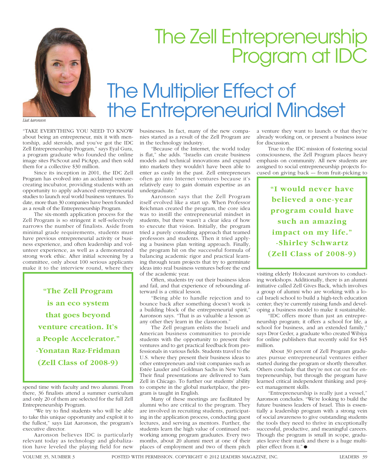

## The Zell Entrepreneurship Program at IDC

## The Multiplier Effect of the Entrepreneurial Mindset

*Liat Aaronson*

"TAKE EVERYTHING YOU NEED TO KNOW about being an entrepreneur, mix it with mentorship, add steroids, and you've got the IDC Zell Entrepreneurship Program," says Eyal Gura, a program graduate who founded the online image sites PicScout and PicApp, and then sold them for a collective \$30 million.

Since its inception in 2001, the IDC Zell Program has evolved into an acclaimed venturecreating incubator, providing students with an opportunity to apply advanced entrepreneurial studies to launch real world business ventures. To date, more than 30 companies have been founded as a result of the Entrepreneurship Program.

The six-month application process for the Zell Program is so stringent it self-selectively narrows the number of finalists. Aside from minimal grade requirements, students must have previous entrepreneurial activity or business experience, and often leadership and volunteer experience, as well as a demonstrated strong work ethic. After initial screening by a committee, only about 100 serious applicants make it to the interview round, where they

> **"The Zell Program is an eco system that goes beyond venture creation. It's a People Accelerator." -Yonatan Raz-Fridman (Zell Class of 2008-9)**

spend time with faculty and two alumni. From there, 36 finalists attend a summer curriculum and only 20 of them are selected for the full Zell Entrepreneurship Program.

"We try to find students who will be able to take this unique opportunity and exploit it to the fullest," says Liat Aaronson, the program's executive director.

Aaronson believes IDC is particularly relevant today as technology and globalization have leveled the playing field for new

businesses. In fact, many of the new companies started as a result of the Zell Program are in the technology industry.

"Because of the Internet, the world today is flat," she adds. "Israelis can create business models and technical innovations and expand into markets they wouldn't have been able to enter as easily in the past. Zell entrepreneurs often go into Internet ventures because it's relatively easy to gain domain expertise as an undergraduate.'

Aaronson says that the Zell Program itself evolved like a start up. When Professor Reichman created the program, the core idea was to instill the entrepreneurial mindset in students, but there wasn't a clear idea of how to execute that vision. Initially, the program tried a purely consulting approach that teamed professors and students. Then it tried applying a business plan writing approach. Finally, the program hit on the successful formula of balancing academic rigor and practical learning through team projects that try to germinate ideas into real business ventures before the end of the academic year.

Often, students try out their business ideas and fail, and that experience of rebounding afterward is a critical lesson.

"Being able to handle rejection and to bounce back after something doesn't work is a building block of the entrepreneurial spirit," Aaronson says. "That is as valuable a lesson as any other they learn in the classroom."

The Zell program enlists the Israeli and American business communities to provide students with the opportunity to present their ventures and to get practical feedback from professionals in various fields. Students travel to the U.S. where they present their business ideas to other entrepreneurs and visit companies such as Estée Lauder and Goldman Sachs in New York. Their final presentations are delivered to Sam Zell in Chicago. To further our students' ability to compete in the global marketplace, the program is taught in English.

Many of these meetings are facilitated by alumni who are critical to the program. They are involved in recruiting students, participating in the application process, conducting guest lectures, and serving as mentors. Further, the students learn the high value of continued networking among program graduates. Every two months, about 20 alumni meet at one of their places of employment and two of them pitch

a venture they want to launch or that they're already working on, or present a business issue for discussion.

True to the IDC mission of fostering social consciousness, the Zell Program places heavy emphasis on community. All new students are assigned to social entrepreneurship projects focused on giving back –- from fruit-picking to

**"I would never have believed a one-year program could have such an amazing impact on my life." -Shirley Schwartz (Zell Class of 2008-9)**

visiting elderly Holocaust survivors to conducting workshops. Additionally, there is an alumni initiative called Zell Gives Back, which involves a group of alumni who are working with a local Israeli school to build a high-tech education center; they're currently raising funds and developing a business model to make it sustainable.

"IDC offers more than just an entrepreneurship program; it offers a school for life, a school for business, and an extended family," says Dror Ceder, a graduate who created Wibiya for online publishers that recently sold for \$45 million.

 About 30 percent of Zell Program graduates pursue entrepreneurial ventures either started during the program or shortly thereafter. Others conclude that they're not cut out for entrepreneurship, but through the program have learned critical independent thinking and project management skills.

"Entrepreneurship is really just a vessel," Aaronson concludes. "We're looking to build the future business leaders of Israel. This is essentially a leadership program with a strong vein of social awareness to give outstanding students the tools they need to thrive in exceptionally successful, productive, and meaningful careers. Though the program is small in scope, graduates leave their mark and there is a huge multiplier effect from it." $\bullet$